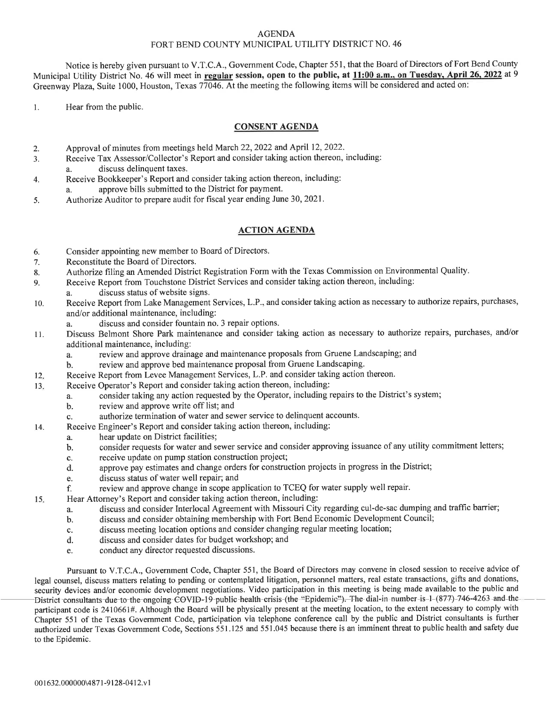## AGENDA FORT BEND COUNTY MUNICIPAL UTILITY DISTRICT NO. 46

Notice is hereby given pursuant to V.T.C.A., Government Code, Chapter 551, that the Board of Directors of Fort Bend County Municipal Utility District No. 46 will meet in regular session, open to the public, at 11:00 a.m., on Tuesday, April 26, 2022 at 9 Greenway Plaza, Suite 1000, Houston, Texas 77046. At the meeting the following items will be considered and acted on:

l. Hear from the public.

## CONSENT AGENDA

- Approval of minutes from meetings held March 22,2022 and April 12,2022. 2.
- Receive Tax Assessor/Collector's Report and consider taking action thereon, including: J.
- a. discuss delinquent taxes.
- Receive Bookkeeper's Report and consider taking action thereon, including: a. approve bills submitted to the District for payment. 4.
- Authorize Auditor to prepare audit for fiscal year ending June 30, 2021. 5.

## ACTION AGENDA

- 6. Consider appointing new member to Board of Directors.
- 7. Reconstitute the Board of Directors.
- 8. Authorize filing an Amended District Registration Form with the Texas Commission on Environmental Quality.
- 9. Receive Report from Touchstone District Services and consider taking action thereon, including:
	- a. discuss status of website signs.
- 10. Receive Report from Lake Management Services, L.P., and consider taking action as necessary to authorize repairs, purchases, and/or additional maintenance, including:
	- a. discuss and consider fountain no. 3 repair options.
- ll. Discuss Belmont Shore Park maintenance and consider taking action as necessary to authorize repairs, purchases, and/or additional maintenance, including:
	- a. review and approve drainage and maintenance proposals from Gruene Landscaping; and
	- b. review and approve bed maintenance proposal from Gruene Landscaping.
- Receive Report from Levee Management Services, L.P. and consider taking action thereon. 12
- Receive Operator's Report and consider taking action thereon, including: 13
	- a. consider taking any action requested by the Operator, including repairs to the District's system;
	- b. review and approve write off list; and
	- c. authorize termination of water and sewer service to delinquent accounts.
	- Receive Engineer's Report and consider taking action thereon, including:
	- a. hear update on District facilities;

14.

- b. consider requests for water and sewer service and consider approving issuance of any utility commitment letters;
- c. receive update on pump station construction project;
- d. approve pay estimates and change orders for construction projects in progress in the District;
- e. discuss status of water well repair; and
- f. review and approve change in scope application to TCEQ for water supply well repair.
- 15. Hear Attorney's Report and consider taking action thereon, including
	- discuss and consider Interlocal Agreement with Missouri City regarding cul-de-sac dumping and traffic barrier; a.
	- discuss and consider obtaining membership with Fort Bend Economic Development Council; b.
	- discuss meeting location options and consider changing regular meeting location; c.
	- discuss and consider dates for budget workshop; and d.
	- conduct any director requested discussions. e.

Pursuant to V.T.C.A., Government Code, Chapter 551, the Board of Directors may convene in closed session to receive advice of legal counsel, discuss matters relating to pending or contemplated litigation, personnel matters, real estate transactions, gifts and donations, security devices and/or economic development negotiations. Video participation in this meeting is being made available to the public and District consultants due to the ongoing  $\overline{C}$ OVID-19 public health crisis (the "Epidemic"). The dial-in number is 1 (877) 746-4263 and the participant code is 2410661#. Although the Board will be physically present at the meeting location, to the extent necessary to comply with Chapter 551 of the Texas Govemment Code, participation viatelephone conference call by the public and District consultants is further authorized under Texas Govemment Code, Sections 551 .125 and 551 .045 because there is an imminent threat to public health and safety due to the Epidemic.